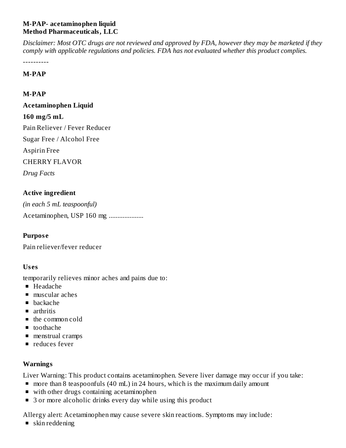#### **M-PAP- acetaminophen liquid Method Pharmaceuticals, LLC**

Disclaimer: Most OTC drugs are not reviewed and approved by FDA, however they may be marketed if they *comply with applicable regulations and policies. FDA has not evaluated whether this product complies.*

----------

#### **M-PAP**

#### **M-PAP**

# **Acetaminophen Liquid 160 mg/5 mL**

Pain Reliever / Fever Reducer

Sugar Free / Alcohol Free

Aspirin Free

CHERRY FLAVOR

*Drug Facts*

# **Active ingredient**

*(in each 5 mL teaspoonful)* Acetaminophen, USP 160 mg ....................

# **Purpos e**

Pain reliever/fever reducer

#### **Us es**

temporarily relieves minor aches and pains due to:

- Headache
- muscular aches
- $\blacksquare$ backache
- **arthritis**
- the common cold
- toothache
- **menstrual cramps**
- **P** reduces fever

# **Warnings**

Liver Warning: This product contains acetaminophen. Severe liver damage may occur if you take:

- more than 8 teaspoonfuls (40 mL) in 24 hours, which is the maximum daily amount
- with other drugs containing acetaminophen
- 3 or more alcoholic drinks every day while using this product

Allergy alert: Acetaminophen may cause severe skin reactions. Symptoms may include:

■ skin reddening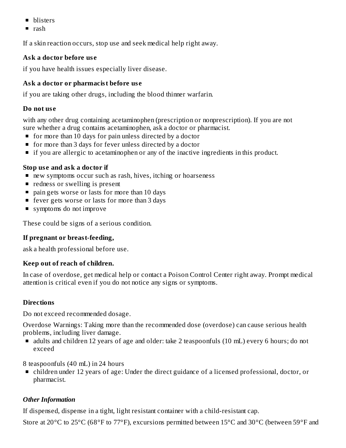- **De** blisters
- $\blacksquare$  rash

If a skin reaction occurs, stop use and seek medical help right away.

# **Ask a doctor before us e**

if you have health issues especially liver disease.

# **Ask a doctor or pharmacist before us e**

if you are taking other drugs, including the blood thinner warfarin.

# **Do not us e**

with any other drug containing acetaminophen (prescription or nonprescription). If you are not sure whether a drug contains acetaminophen, ask a doctor or pharmacist.

- **for more than 10 days for pain unless directed by a doctor**
- **for more than 3 days for fever unless directed by a doctor**
- **If you are allergic to acetaminophen or any of the inactive ingredients in this product.**

# **Stop us e and ask a doctor if**

- new symptoms occur such as rash, hives, itching or hoarseness
- **•** redness or swelling is present
- **pain gets worse or lasts for more than 10 days**
- fever gets worse or lasts for more than 3 days
- symptoms do not improve

These could be signs of a serious condition.

# **If pregnant or breast-feeding,**

ask a health professional before use.

# **Keep out of reach of children.**

In case of overdose, get medical help or contact a Poison Control Center right away. Prompt medical attention is critical even if you do not notice any signs or symptoms.

# **Directions**

Do not exceed recommended dosage.

Overdose Warnings: Taking more than the recommended dose (overdose) can cause serious health problems, including liver damage.

do adults and children 12 years of age and older: take 2 teaspoonfuls (10 mL) every 6 hours; do not exceed

8 teaspoonfuls (40 mL) in 24 hours

children under 12 years of age: Under the direct guidance of a licensed professional, doctor, or pharmacist.

# *Other Information*

If dispensed, dispense in a tight, light resistant container with a child-resistant cap.

Store at 20°C to 25°C (68°F to 77°F), excursions permitted between 15°C and 30°C (between 59°F and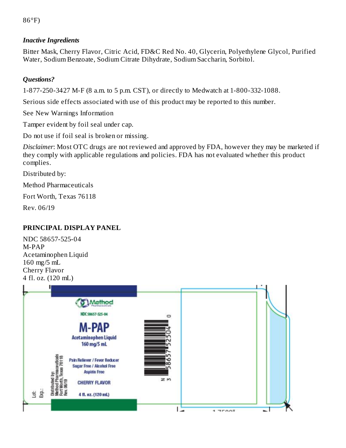86°F)

#### *Inactive Ingredients*

Bitter Mask, Cherry Flavor, Citric Acid, FD&C Red No. 40, Glycerin, Polyethylene Glycol, Purified Water, Sodium Benzoate, Sodium Citrate Dihydrate, Sodium Saccharin, Sorbitol.

#### *Questions?*

1-877-250-3427 M-F (8 a.m. to 5 p.m. CST), or directly to Medwatch at 1-800-332-1088.

Serious side effects associated with use of this product may be reported to this number.

See New Warnings Information

Tamper evident by foil seal under cap.

Do not use if foil seal is broken or missing.

*Disclaimer*: Most OTC drugs are not reviewed and approved by FDA, however they may be marketed if they comply with applicable regulations and policies. FDA has not evaluated whether this product complies.

Distributed by:

Method Pharmaceuticals

Fort Worth, Texas 76118

Rev. 06/19

#### **PRINCIPAL DISPLAY PANEL**

NDC 58657-525-04 M-PAP Acetaminophen Liquid 160 mg/5 mL Cherry Flavor 4 fl. oz. (120 mL)

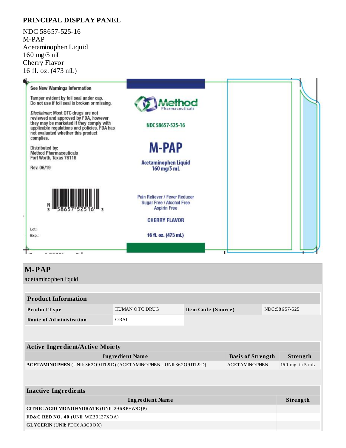#### **PRINCIPAL DISPLAY PANEL**

NDC 58657-525-16 M-PAP Acetaminophen Liquid 160 mg/5 mL Cherry Flavor 16 fl. oz. (473 mL)



| <b>INGLUYE INGLUATIO</b>                     |          |  |  |  |  |  |
|----------------------------------------------|----------|--|--|--|--|--|
| <b>Ingredient Name</b>                       | Strength |  |  |  |  |  |
| CITRIC ACID MONOHYDRATE (UNII: 2968 PHW8 QP) |          |  |  |  |  |  |
| FD&C RED NO. 40 (UNII: WZB9127XOA)           |          |  |  |  |  |  |
| <b>GLYCERIN</b> (UNII: PDC6A3C0OX)           |          |  |  |  |  |  |